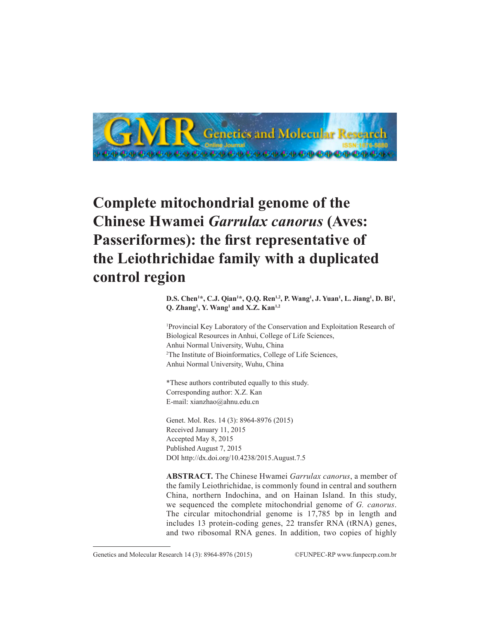

# **Complete mitochondrial genome of the Chinese Hwamei** *Garrulax canorus* **(Aves: Passeriformes): the first representative of the Leiothrichidae family with a duplicated control region**

**D.S. Chen<sup>1\*</sup>, C.J. Qian<sup>1\*</sup>, Q.Q. Ren<sup>1,2</sup>, P. Wang<sup>1</sup>, J. Yuan<sup>1</sup>, L. Jiang<sup>1</sup>, D. Bi<sup>1</sup>, Q. Zhang1 , Y. Wang1 and X.Z. Kan1,2**

1 Provincial Key Laboratory of the Conservation and Exploitation Research of Biological Resources in Anhui, College of Life Sciences, Anhui Normal University, Wuhu, China 2 The Institute of Bioinformatics, College of Life Sciences, Anhui Normal University, Wuhu, China

\*These authors contributed equally to this study. Corresponding author: X.Z. Kan E-mail: xianzhao@ahnu.edu.cn

Genet. Mol. Res. 14 (3): 8964-8976 (2015) Received January 11, 2015 Accepted May 8, 2015 Published August 7, 2015 DOI http://dx.doi.org/10.4238/2015.August.7.5

**ABSTRACT.** The Chinese Hwamei *Garrulax canorus*, a member of the family Leiothrichidae, is commonly found in central and southern China, northern Indochina, and on Hainan Island. In this study, we sequenced the complete mitochondrial genome of *G. canorus*. The circular mitochondrial genome is 17,785 bp in length and includes 13 protein-coding genes, 22 transfer RNA (tRNA) genes, and two ribosomal RNA genes. In addition, two copies of highly

Genetics and Molecular Research 14 (3): 8964-8976 (2015) ©FUNPEC-RP www.funpecrp.com.br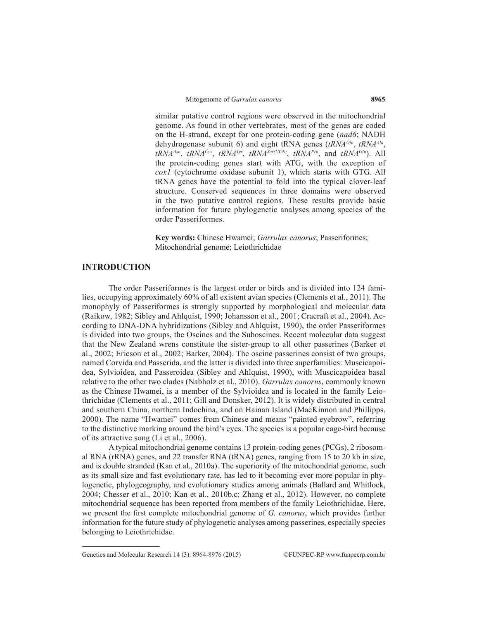similar putative control regions were observed in the mitochondrial genome. As found in other vertebrates, most of the genes are coded on the H-strand, except for one protein-coding gene (*nad6*; NADH dehydrogenase subunit 6) and eight tRNA genes (*tRNAGln*, *tRNAAla*, *tRNAAsn*, *tRNACys*, *tRNATyr*, *tRNASer(UCN)*, *tRNAPro*, and *tRNAGlu*). All the protein-coding genes start with ATG, with the exception of *cox1* (cytochrome oxidase subunit 1), which starts with GTG. All tRNA genes have the potential to fold into the typical clover-leaf structure. Conserved sequences in three domains were observed in the two putative control regions. These results provide basic information for future phylogenetic analyses among species of the order Passeriformes.

**Key words:** Chinese Hwamei; *Garrulax canorus*; Passeriformes; Mitochondrial genome; Leiothrichidae

## **INTRODUCTION**

The order Passeriformes is the largest order or birds and is divided into 124 families, occupying approximately 60% of all existent avian species (Clements et al., 2011). The monophyly of Passeriformes is strongly supported by morphological and molecular data (Raikow, 1982; Sibley and Ahlquist, 1990; Johansson et al., 2001; Cracraft et al., 2004). According to DNA-DNA hybridizations (Sibley and Ahlquist, 1990), the order Passeriformes is divided into two groups, the Oscines and the Suboscines. Recent molecular data suggest that the New Zealand wrens constitute the sister-group to all other passerines (Barker et al., 2002; Ericson et al., 2002; Barker, 2004). The oscine passerines consist of two groups, named Corvida and Passerida, and the latter is divided into three superfamilies: Muscicapoidea, Sylvioidea, and Passeroidea (Sibley and Ahlquist, 1990), with Muscicapoidea basal relative to the other two clades (Nabholz et al., 2010). *Garrulax canorus*, commonly known as the Chinese Hwamei, is a member of the Sylvioidea and is located in the family Leiothrichidae (Clements et al., 2011; Gill and Donsker, 2012). It is widely distributed in central and southern China, northern Indochina, and on Hainan Island (MacKinnon and Phillipps, 2000). The name "Hwamei" comes from Chinese and means "painted eyebrow", referring to the distinctive marking around the bird's eyes. The species is a popular cage-bird because of its attractive song (Li et al., 2006).

A typical mitochondrial genome contains 13 protein-coding genes (PCGs), 2 ribosomal RNA (rRNA) genes, and 22 transfer RNA (tRNA) genes, ranging from 15 to 20 kb in size, and is double stranded (Kan et al., 2010a). The superiority of the mitochondrial genome, such as its small size and fast evolutionary rate, has led to it becoming ever more popular in phylogenetic, phylogeography, and evolutionary studies among animals (Ballard and Whitlock, 2004; Chesser et al., 2010; Kan et al., 2010b,c; Zhang et al., 2012). However, no complete mitochondrial sequence has been reported from members of the family Leiothrichidae. Here, we present the first complete mitochondrial genome of *G. canorus*, which provides further information for the future study of phylogenetic analyses among passerines, especially species belonging to Leiothrichidae.

Genetics and Molecular Research 14 (3): 8964-8976 (2015) ©FUNPEC-RP www.funpecrp.com.br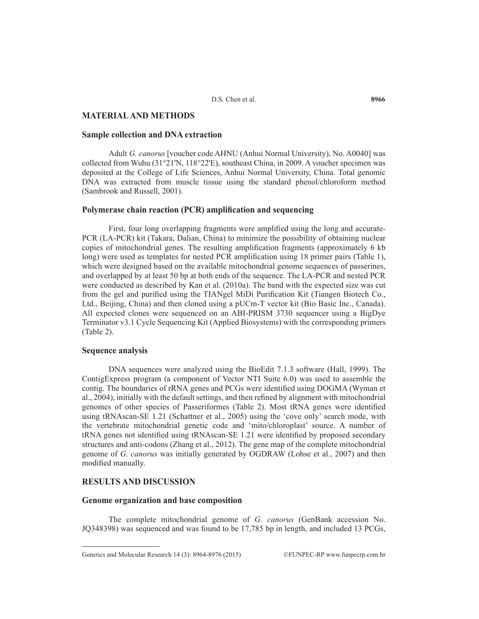## **MATERIAL AND METHODS**

#### **Sample collection and DNA extraction**

Adult *G. canorus* [voucher code AHNU (Anhui Normal University), No. A0040] was collected from Wuhu (31°21'N, 118°22'E), southeast China, in 2009. A voucher specimen was deposited at the College of Life Sciences, Anhui Normal University, China. Total genomic DNA was extracted from muscle tissue using the standard phenol/chloroform method (Sambrook and Russell, 2001).

#### **Polymerase chain reaction (PCR) amplification and sequencing**

First, four long overlapping fragments were amplified using the long and accurate-PCR (LA-PCR) kit (Takara, Dalian, China) to minimize the possibility of obtaining nuclear copies of mitochondrial genes. The resulting amplification fragments (approximately 6 kb long) were used as templates for nested PCR amplification using 18 primer pairs (Table 1), which were designed based on the available mitochondrial genome sequences of passerines, and overlapped by at least 50 bp at both ends of the sequence. The LA-PCR and nested PCR were conducted as described by Kan et al. (2010a). The band with the expected size was cut from the gel and purified using the TIANgel MiDi Purification Kit (Tiangen Biotech Co., Ltd., Beijing, China) and then cloned using a pUCm-T vector kit (Bio Basic Inc., Canada). All expected clones were sequenced on an ABI-PRISM 3730 sequencer using a BigDye Terminator v3.1 Cycle Sequencing Kit (Applied Biosystems) with the corresponding primers (Table 2).

#### **Sequence analysis**

DNA sequences were analyzed using the BioEdit 7.1.3 software (Hall, 1999). The ContigExpress program (a component of Vector NTI Suite 6.0) was used to assemble the contig. The boundaries of rRNA genes and PCGs were identified using DOGMA (Wyman et al., 2004), initially with the default settings, and then refined by alignment with mitochondrial genomes of other species of Passeriformes (Table 2). Most tRNA genes were identified using tRNAscan-SE 1.21 (Schattner et al., 2005) using the 'cove only' search mode, with the vertebrate mitochondrial genetic code and 'mito/chloroplast' source. A number of tRNA genes not identified using tRNAscan-SE 1.21 were identified by proposed secondary structures and anti-codons (Zhang et al., 2012). The gene map of the complete mitochondrial genome of *G. canorus* was initially generated by OGDRAW (Lohse et al., 2007) and then modified manually.

## **RESULTS AND DISCUSSION**

#### **Genome organization and base composition**

The complete mitochondrial genome of *G. canorus* (GenBank accession No. JQ348398) was sequenced and was found to be 17,785 bp in length, and included 13 PCGs,

Genetics and Molecular Research 14 (3): 8964-8976 (2015) ©FUNPEC-RP www.funpecrp.com.br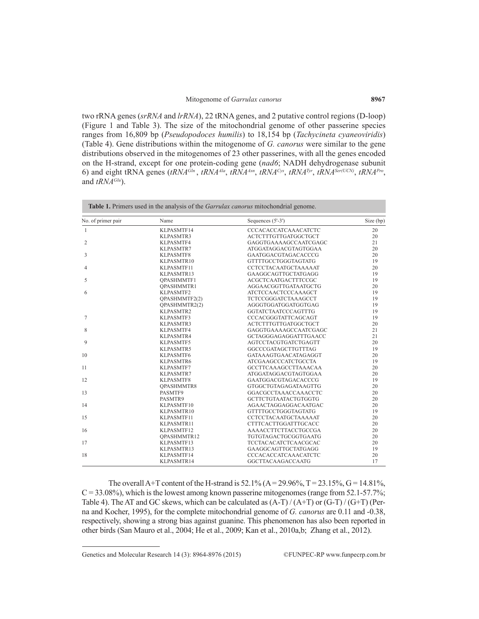two rRNA genes (*srRNA* and *lrRNA*), 22 tRNA genes, and 2 putative control regions (D-loop) (Figure 1 and Table 3). The size of the mitochondrial genome of other passerine species ranges from 16,809 bp (*Pseudopodoces humilis*) to 18,154 bp (*Tachycineta cyaneoviridis*) (Table 4). Gene distributions within the mitogenome of *G. canorus* were similar to the gene distributions observed in the mitogenomes of 23 other passerines, with all the genes encoded on the H-strand, except for one protein-coding gene (*nad6*; NADH dehydrogenase subunit 6) and eight tRNA genes (*tRNAGln* , *tRNAAla*, *tRNAAsn*, *tRNACys*, *tRNATyr*, *tRNASer(UCN)*, *tRNAPro*, and *tRNAGlu*).

| No. of primer pair | Name               | Sequences (5'-3')           | Size (bp) |
|--------------------|--------------------|-----------------------------|-----------|
| $\mathbf{1}$       | KLPASMTF14         | CCCACACCATCAAACATCTC        | 20        |
|                    | <b>KLPASMTR3</b>   | ACTCTTTGTTGATGGCTGCT        | 20        |
| 2                  | KLPASMTF4          | GAGGTGAAAAGCCAATCGAGC       | 21        |
|                    | KLPASMTR7          | ATGGATAGGACGTAGTGGAA        | 20        |
| 3                  | KLPASMTF8          | GAATGGACGTAGACACCCG         | 20        |
|                    | KLPASMTR10         | <b>GTTTTGCCTGGGTAGTATG</b>  | 19        |
| $\overline{4}$     | KLPASMTF11         | CCTCCTACAATGCTAAAAAT        | 20        |
|                    | KLPASMTR13         | GAAGGCAGTTGCTATGAGG         | 19        |
| 5                  | <b>OPASHMMTF1</b>  | ACGCTCAATGACTTTCCGC         | 19        |
|                    | <b>OPASHMMTR1</b>  | AGGAACGGTTGATAATGCTG        | 20        |
| 6                  | KLPASMTF2          | <b>ATCTCCAACTCCCAAAGCT</b>  | 19        |
|                    | QPASHMMTF2(2)      | TCTCCGGGATCTAAAGCCT         | 19        |
|                    | OPASHMMTR2(2)      | AGGGTGGATGGATGGTGAG         | 19        |
|                    | KLPASMTR2          | <b>GGTATCTAATCCCAGTTTG</b>  | 19        |
| 7                  | KLPASMTF3          | CCCACGGGTATTCAGCAGT         | 19        |
|                    | KLPASMTR3          | <b>ACTCTTTGTTGATGGCTGCT</b> | 20        |
| 8                  | KLPASMTF4          | GAGGTGAAAAGCCAATCGAGC       | 21        |
|                    | KLPASMTR4          | GCTAGGGAGAGGATTTGAACC       | 21        |
| 9                  | KLPASMTF5          | AGTCCTACGTGATCTGAGTT        | 20        |
|                    | KLPASMTR5          | GGCCCGATAGCTTGTTTAG         | 19        |
| 10                 | KLPASMTF6          | GATAAAGTGAACATAGAGGT        | 20        |
|                    | KLPASMTR6          | <b>ATCGAAGCCCATCTGCCTA</b>  | 19        |
| 11                 | KLPASMTF7          | GCCTTCAAAGCCTTAAACAA        | 20        |
|                    | KLPASMTR7          | ATGGATAGGACGTAGTGGAA        | 20        |
| 12                 | KLPASMTF8          | GAATGGACGTAGACACCCG         | 19        |
|                    | <b>OPASHMMTR8</b>  | GTGGCTGTAGAGATAAGTTG        | 20        |
| 13                 | PASMTF9            | GGACGCCTAAACCAAACCTC        | 20        |
|                    | PASMTR9            | <b>GCTTCTGTAATACTGTGGTG</b> | 20        |
| 14                 | KLPASMTF10         | AGAACTAGGAGGACAATGAC        | 20        |
|                    | KLPASMTR10         | <b>GTTTTGCCTGGGTAGTATG</b>  | 19        |
| 15                 | KLPASMTF11         | CCTCCTACAATGCTAAAAAT        | 20        |
|                    | KLPASMTR11         | <b>CTTTCACTTGGATTTGCACC</b> | 20        |
| 16                 | KLPASMTF12         | AAAACCTTCTTACCTGCCGA        | 20        |
|                    | <b>OPASHMMTR12</b> | TGTGTAGACTGCGGTGAATG        | 20        |
| 17                 | KLPASMTF13         | TCCTACACATCTCAACGCAC        | 20        |
|                    | KLPASMTR13         | GAAGGCAGTTGCTATGAGG         | 19        |
| 18                 | KLPASMTF14         | <b>CCCACACCATCAAACATCTC</b> | 20        |
|                    | KLPASMTR14         | <b>GGCTTACAAGACCAATG</b>    | 17        |

The overall A+T content of the H-strand is  $52.1\%$  (A = 29.96%, T = 23.15%, G = 14.81%,  $C = 33.08\%$ ), which is the lowest among known passerine mitogenomes (range from 52.1-57.7%; Table 4). The AT and GC skews, which can be calculated as  $(A-T)/(A+T)$  or  $(G-T)/(G+T)$  (Perna and Kocher, 1995), for the complete mitochondrial genome of *G. canorus* are 0.11 and -0.38, respectively, showing a strong bias against guanine. This phenomenon has also been reported in other birds (San Mauro et al., 2004; He et al., 2009; Kan et al., 2010a,b; Zhang et al., 2012).

Genetics and Molecular Research 14 (3): 8964-8976 (2015) ©FUNPEC-RP www.funpecrp.com.br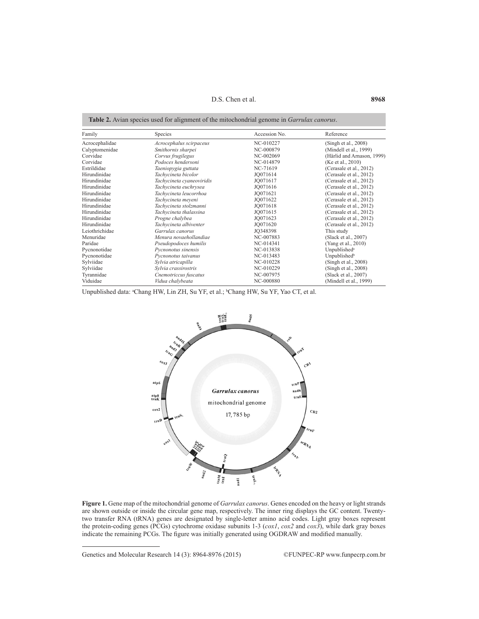D.S. Chen et al. **8968**

| Family         | Species                   | Accession No. | Reference                  |
|----------------|---------------------------|---------------|----------------------------|
| Acrocephalidae | Acrocephalus scirpaceus   | NC-010227     | (Singh et al., 2008)       |
| Calyptomenidae | Smithornis sharpei        | NC-000879     | (Mindell et al., 1999)     |
| Corvidae       | Corvus frugilegus         | NC-002069     | (Härlid and Arnason, 1999) |
| Corvidae       | Podoces hendersoni        | NC-014879     | (Ke et al., 2010)          |
| Estrildidae    | Taeniopygia guttata       | NC-71619      | (Cerasale et al., 2012)    |
| Hirundinidae   | Tachycineta bicolor       | JO071614      | (Cerasale et al., 2012)    |
| Hirundinidae   | Tachycineta cyaneoviridis | JO071617      | (Cerasale et al., 2012)    |
| Hirundinidae   | Tachycineta euchrysea     | JO071616      | (Cerasale et al., 2012)    |
| Hirundinidae   | Tachycineta leucorrhoa    | JO071621      | (Cerasale et al., 2012)    |
| Hirundinidae   | Tachycineta meyeni        | JO071622      | (Cerasale et al., 2012)    |
| Hirundinidae   | Tachycineta stolzmanni    | JO071618      | (Cerasale et al., 2012)    |
| Hirundinidae   | Tachycineta thalassina    | JO071615      | (Cerasale et al., 2012)    |
| Hirundinidae   | Progne chalybea           | JO071623      | (Cerasale et al., 2012)    |
| Hirundinidae   | Tachycineta albiventer    | JO071620      | (Cerasale et al., 2012)    |
| Leiothrichidae | Garrulax canorus          | JO348398      | This study                 |
| Menuridae      | Menura novaehollandiae    | NC-007883     | (Slack et al., 2007)       |
| Paridae        | Pseudopodoces humilis     | NC-014341     | (Yang et al., 2010)        |
| Pycnonotidae   | Pycnonotus sinensis       | NC-013838     | Unpublished <sup>a</sup>   |
| Pycnonotidae   | Pycnonotus taivanus       | NC-013483     | Unpublished <sup>b</sup>   |
| Sylviidae      | Sylvia atricapilla        | NC-010228     | (Singh et al., 2008)       |
| Sylviidae      | Sylvia crassirostris      | NC-010229     | (Singh et al., 2008)       |
| Tyrannidae     | Cnemotriccus fuscatus     | NC-007975     | (Slack et al., 2007)       |
| Viduidae       | Vidua chalybeata          | NC-000880     | (Mindell et al., 1999)     |

Unpublished data: <sup>a</sup>Chang HW, Lin ZH, Su YF, et al.; <sup>b</sup>Chang HW, Su YF, Yao CT, et al.



**Figure 1.** Gene map of the mitochondrial genome of *Garrulax canorus*. Genes encoded on the heavy or light strands are shown outside or inside the circular gene map, respectively. The inner ring displays the GC content. Twentytwo transfer RNA (tRNA) genes are designated by single-letter amino acid codes. Light gray boxes represent the protein-coding genes (PCGs) cytochrome oxidase subunits 1-3 (*cox1*, *cox2* and *cox3*), while dark gray boxes indicate the remaining PCGs. The figure was initially generated using OGDRAW and modified manually.

Genetics and Molecular Research 14 (3): 8964-8976 (2015) ©FUNPEC-RP www.funpecrp.com.br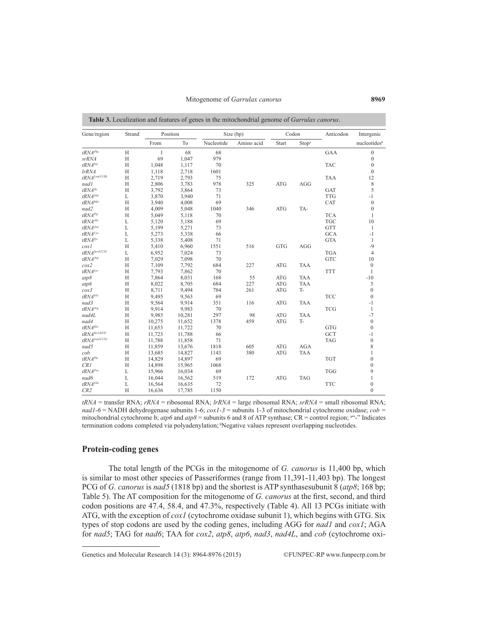| Gene/region                                          | Strand       | Position     |        |            | Size (bp)  |            | Codon             | Anticodon  | Intergenic               |
|------------------------------------------------------|--------------|--------------|--------|------------|------------|------------|-------------------|------------|--------------------------|
|                                                      |              | From         | To     | Nucleotide | Amino acid | Start      | Stop <sup>a</sup> |            | nucleotides <sup>b</sup> |
| tRNA <sup>Phe</sup>                                  | H            | $\mathbf{1}$ | 68     | 68         |            |            |                   | GAA        | $\mathbf{0}$             |
| srRNA                                                | H            | 69           | 1,047  | 979        |            |            |                   |            | $\boldsymbol{0}$         |
| tRNAVal                                              | H            | 1,048        | 1,117  | 70         |            |            |                   | <b>TAC</b> | $\theta$                 |
| lrRNA                                                | H            | 1,118        | 2,718  | 1601       |            |            |                   |            | $\mathbf{0}$             |
| $tRNA^{Leu(UUR)}$                                    | H            | 2,719        | 2,793  | 75         |            |            |                   | <b>TAA</b> | 12                       |
| nadl                                                 | H            | 2,806        | 3,783  | 978        | 325        | ATG        | AGG               |            | 8                        |
| $tRNA$ <sup>Ile</sup>                                | H            | 3,792        | 3,864  | 73         |            |            |                   | <b>GAT</b> | 5                        |
| $tRNA$ Gln                                           | L            | 3,870        | 3,940  | 71         |            |            |                   | <b>TTG</b> | $-1$                     |
| tRNAMet                                              | H            | 3,940        | 4,008  | 69         |            |            |                   | CAT        | $\boldsymbol{0}$         |
| nad2                                                 | H            | 4,009        | 5,048  | 1040       | 346        | ATG        | TA-               |            | $\mathbf{0}$             |
| $tRNA^{Tp}$                                          | H            | 5,049        | 5,118  | 70         |            |            |                   | <b>TCA</b> | $\mathbf{1}$             |
| tRNA <sup>Ala</sup>                                  | $\mathbf{L}$ | 5,120        | 5,188  | 69         |            |            |                   | <b>TGC</b> | 10                       |
| tRNAAsn                                              | L            | 5,199        | 5,271  | 73         |            |            |                   | <b>GTT</b> | $\mathbf{1}$             |
| tRNA <sup>Cys</sup>                                  | L            | 5,273        | 5,338  | 66         |            |            |                   | <b>GCA</b> | $-1$                     |
| $tRNA^{Tyr}$                                         | L            | 5,338        | 5,408  | 71         |            |            |                   | <b>GTA</b> | $\mathbf{1}$             |
| $\cos l$                                             | H            | 5,410        | 6,960  | 1551       | 516        | <b>GTG</b> | AGG               |            | $-9$                     |
| $tRNA^{Ser(UCN)}$                                    | L            | 6,952        | 7,024  | 73         |            |            |                   | <b>TGA</b> | $\overline{4}$           |
| $tRNA^{\scriptscriptstyle A\scriptscriptstyle S\!P}$ | H            | 7,029        | 7,098  | 70         |            |            |                   | <b>GTC</b> | 10                       |
| cox2                                                 | H            | 7,109        | 7,792  | 684        | 227        | ATG        | <b>TAA</b>        |            | $\mathbf{0}$             |
| $tRNA^{Lys}$                                         | H            | 7,793        | 7,862  | 70         |            |            |                   | <b>TTT</b> | $\mathbf{1}$             |
| atp8                                                 | H            | 7,864        | 8,031  | 168        | 55         | ATG        | <b>TAA</b>        |            | $-10$                    |
| atp6                                                 | H            | 8,022        | 8,705  | 684        | 227        | ATG        | TAA               |            | 5                        |
| $\cos^3$                                             | H            | 8,711        | 9,494  | 784        | 261        | <b>ATG</b> | <b>T-</b>         |            | $\overline{0}$           |
| $tRNA$ <sup>Gly</sup>                                | H            | 9,495        | 9,563  | 69         |            |            |                   | <b>TCC</b> | $\overline{0}$           |
| nad3                                                 | H            | 9,564        | 9,914  | 351        | 116        | <b>ATG</b> | <b>TAA</b>        |            | $-1$                     |
| $tRNA$ <sup>Ang</sup>                                | H            | 9,914        | 9,983  | 70         |            |            |                   | <b>TCG</b> | $\mathbf{1}$             |
| nad4L                                                | H            | 9,985        | 10,281 | 297        | 98         | ATG        | <b>TAA</b>        |            | $-7$                     |
| nad4                                                 | H            | 10,275       | 11,652 | 1378       | 459        | ATG        | <b>T-</b>         |            | $\boldsymbol{0}$         |
| tRNA <sup>His</sup>                                  | H            | 11,653       | 11.722 | 70         |            |            |                   | <b>GTG</b> | $\mathbf{0}$             |
| $tRNA^{Ser (AGY)}$                                   | H            | 11,723       | 11,788 | 66         |            |            |                   | <b>GCT</b> | $-1$                     |
| $tRNA^{Leu(CUN)}$                                    | H            | 11,788       | 11,858 | 71         |            |            |                   | <b>TAG</b> | $\overline{0}$           |
| nad5                                                 | H            | 11,859       | 13,676 | 1818       | 605        | <b>ATG</b> | AGA               |            | 8                        |
| cob                                                  | H            | 13,685       | 14,827 | 1143       | 380        | <b>ATG</b> | <b>TAA</b>        |            | $\mathbf{1}$             |
| $tRNA^{Thr}$                                         | H            | 14,829       | 14,897 | 69         |            |            |                   | <b>TGT</b> | $\overline{0}$           |
| CRI                                                  | H            | 14,898       | 15,965 | 1068       |            |            |                   |            | $\mathbf{0}$             |
| $tRNA^{Pro}$                                         | L            | 15,966       | 16,034 | 69         |            |            |                   | <b>TGG</b> | 9                        |
| nad6                                                 | L            | 16,044       | 16,562 | 519        | 172        | ATG        | <b>TAG</b>        |            | $\mathbf{1}$             |
| tRNA <sup>Glu</sup>                                  | L            | 16,564       | 16,635 | 72         |            |            |                   | <b>TTC</b> | $\mathbf{0}$             |
| CR2                                                  | H            | 16,636       | 17,785 | 1150       |            |            |                   |            | $\mathbf{0}$             |

**Table 3.** Localization and features of genes in the mitochondrial genome of *Ga* 

*tRNA* = transfer RNA; *rRNA* = ribosomal RNA; *lrRNA* = large ribosomal RNA; *srRNA* = small ribosomal RNA; *nad1-6* = NADH dehydrogenase subunits 1-6; *cox1-3* = subunits 1-3 of mitochondrial cytochrome oxidase; *cob =*  mitochondrial cytochrome b;  $atp6$  and  $atp8$  = subunits 6 and 8 of ATP synthase;  $CR$  = control region;  $a^{k-1}$  Indicates termination codons completed via polyadenylation; Negative values represent overlapping nucleotides.

#### **Protein-coding genes**

The total length of the PCGs in the mitogenome of *G. canorus* is 11,400 bp, which is similar to most other species of Passeriformes (range from 11,391-11,403 bp). The longest PCG of *G. canorus* is *nad5* (1818 bp) and the shortest is ATP synthasesubunit 8 (*atp8*; 168 bp; Table 5). The AT composition for the mitogenome of *G. canorus* at the first, second, and third codon positions are 47.4, 58.4, and 47.3%, respectively (Table 4). All 13 PCGs initiate with ATG, with the exception of *cox1* (cytochrome oxidase subunit 1), which begins with GTG. Six types of stop codons are used by the coding genes, including AGG for *nad1* and *cox1*; AGA for *nad5*; TAG for *nad6*; TAA for *cox2*, *atp8*, *atp6*, *nad3*, *nad4L*, and *cob* (cytochrome oxi-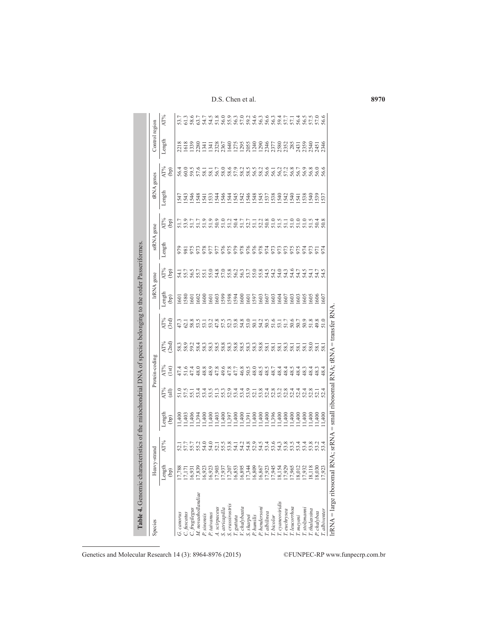| Species                             | Heavy-             | -strand              |                  |                      | Protein-coding |                               |              |                | IrRNA gene       | srRNA gene     |                            | tRNA genes |                      | Control region                                                                                                                                                                                                                                                            |                  |
|-------------------------------------|--------------------|----------------------|------------------|----------------------|----------------|-------------------------------|--------------|----------------|------------------|----------------|----------------------------|------------|----------------------|---------------------------------------------------------------------------------------------------------------------------------------------------------------------------------------------------------------------------------------------------------------------------|------------------|
|                                     | Length             | AT%                  | Length           | AT%                  | AT%            | AT%                           | AT%          | Length         | AT%              | Length         | AT%                        | Length     | AT%                  | Length                                                                                                                                                                                                                                                                    | AT%              |
|                                     | $\binom{6}{0}$     |                      | (bp)             | (iii)                | (1st)          | (2nd)                         | 3rd          | $\binom{6}{0}$ | (dq)             |                | (bp)                       |            | $\binom{6}{5}$       |                                                                                                                                                                                                                                                                           |                  |
| G. canorus                          | 17,788             | 52.1                 | 11,400           | 51.5                 | 47.4           | 58.3                          | 47.3         | 601            | 54.1<br>55.7     |                | 51.7                       | 547        | 56.4<br>60.0         | 218                                                                                                                                                                                                                                                                       | 53.7             |
| C. fuscatus                         | 7,177              |                      | 11,403           |                      | 51.6           |                               | 62.1         | 580            |                  | $\overline{8}$ | 53.9                       | 543        |                      | 1618                                                                                                                                                                                                                                                                      | 61.3             |
| M. novaehollandiae<br>C. frugilegus | (7, 839)<br>16,931 |                      | 11,406<br>11,394 | 55.1                 | 47.4<br>48.0   | 59.2<br>58.4                  | 58.8<br>53.5 | 602<br>601     | 56.5             | 576<br>973     | 51.7<br>51.7               | 546<br>548 | 59.5<br>57.6         | 1339<br>2280                                                                                                                                                                                                                                                              | 58.6<br>63.7     |
| P. sinensis                         | 16,923             | 55.7<br>58.2<br>54.0 | 11,400           | 53.4                 | 48.8           | 58.3                          | 53.1         | 600            | 55.7             | 978            | 51.9                       | 541        | 58.1                 | 1341                                                                                                                                                                                                                                                                      | 54.7             |
| P. taivanus                         | 16,923             | 54.0                 | 11,400           | 53.5                 | 48.9           | 58.3                          | 53.2         | 601            | 55.0             | 977            | 51.9                       | 533        | 58.1                 | 1341                                                                                                                                                                                                                                                                      |                  |
| A. scirpaceus                       | 17,903             | 52.1                 | 11,403           |                      | 47.8           | 58.5                          | 47.8         | 603            |                  | 977            | $50.9$<br>$51.2$           | 544        | 56.7                 | $\begin{smallmatrix} 88670 & 89670 & 89670 & 89670 & 89670 & 89670 & 89670 & 89670 & 89670 & 89670 & 89670 & 89670 & 89670 & 89670 & 89670 & 89670 & 89670 & 89670 & 89670 & 89670 & 89670 & 89670 & 89670 & 89670 & 89670 & 89670 & 89670 & 89670 & 89670 & 89670 & 896$ | $34.5$<br>$58.0$ |
| S. crassirostris<br>S. atricapilla  | 17,207<br>17,937   | 55.8                 | 11,400<br>11,397 | 52.9<br>55.3         | 49.6<br>47.8   | 58.8<br>58.3                  | 57.5<br>52.3 | 1599<br>598    | 57.0             | 975            |                            | 546<br>544 | 58.0<br>58.6         |                                                                                                                                                                                                                                                                           | 55.9             |
|                                     | 16,853             |                      | 11,400           |                      | 47.7           |                               | 53.8         | 594            |                  | 979            |                            | 545        |                      |                                                                                                                                                                                                                                                                           |                  |
| T. guttata<br>V. chalybeata         | 16,895             | $7.3899$<br>555555   | 11,400           | 53.4                 | 46.8           | 8<br>8 8 8 8 8 8<br>8 8 8 8 8 | 54.8         | 600            | 563708<br>563708 | 978            | 50.4                       | 542        | 57.9                 |                                                                                                                                                                                                                                                                           | 56525<br>5658    |
| S. sharpei                          | 17,344             |                      | 11,391           | 53.9<br>52.1         | 50.5           |                               | 53.0         | 601            |                  | 876<br>976     | $52.7$<br>$51.1$<br>$52.2$ | 548        | 58.5<br>56.5<br>58.2 |                                                                                                                                                                                                                                                                           |                  |
| P. humilis                          | 16,809             |                      | 11,400           |                      | 48.0           |                               | 50.1         | 597            |                  |                |                            |            |                      |                                                                                                                                                                                                                                                                           |                  |
| P. henderson                        | 16,867             |                      | 11,400           |                      | 48.5           |                               | 54.2         | 1603           |                  |                |                            | 545        |                      |                                                                                                                                                                                                                                                                           | 56.3             |
| T. albilinea<br>T. bicolor          | 17,945<br>17,923   | 53.4                 | 11,400<br>11,396 | 52.8<br>52.4         | 48.5<br>48.7   | 58.1<br>58.1                  | 51.6<br>50.5 | 1607<br>1603   | 54.5<br>54.2     | 974<br>973     | 50.8<br>51.0               | 538<br>537 | 56.6<br>56.1         |                                                                                                                                                                                                                                                                           | 56.6<br>56.3     |
| T. cyaneoviridis                    | 18,154             | 54,3                 | 1,400            | 53.2                 | 48.4           | 58.1                          | 53.1         | 1604           | 54.0             | 973            | 51.5                       | 540        |                      |                                                                                                                                                                                                                                                                           | 59.4             |
| T. euchrysea                        | 17,929             | 53.8                 | 11,400           | 52.8                 | 48.4           | 58.3                          | 51.7         | 607            | 54.3             | 973            | 51.1                       | 542        | 56,2                 |                                                                                                                                                                                                                                                                           | 57.7             |
| T. leucorrhoa                       | 17,965             | 53.5                 | 11,400           | 52.4                 | 48.5           | 58.1                          | 50.6         | 603            | 54.6             | 975            | 51.0                       | 540        | 56.8                 |                                                                                                                                                                                                                                                                           | 57.1             |
| T. meyeni                           | 18,012             | 53.4                 | 11,400           | 52.4                 | 48.4           | 58.1                          | 50.7         | 603            | 54.7             | 975            | 51.0                       | 541        | 56.7                 | 2431                                                                                                                                                                                                                                                                      | 56.4             |
| T. stolzmanni                       | 17,932             | 53.4                 | 11,400           | 52.4<br>52.3<br>52.1 | 48.3           | 58.1                          | 50.9         | 605            | 54.5             | 974            | 51.0                       | 538        | 56.9                 | 2359                                                                                                                                                                                                                                                                      | 56.5             |
| T. thalassina                       | 18,118             | 53.8                 | 11,400           |                      | 48.4           | 58.0                          | 51.8         | 605            | 54.1             | 973            | 51.5                       | 540        | 56.8                 | 2540                                                                                                                                                                                                                                                                      | 57.5             |
| P. chalybea                         | 18,030             | 53.2                 | 1,400            |                      | $\frac{8}{3}$  | 58.                           | 49.8         | 606            | 54.7             | 971            | 50.4                       | 537        | 56.6<br>56.6         | 2451                                                                                                                                                                                                                                                                      | 57.0             |
| T. albiventer                       | 17.923             | 4<br>53.             | 11,400           | 52.4                 | 48.4           | 58.1                          |              | 607            | 54.5             | 974            | 50                         |            |                      | 2346                                                                                                                                                                                                                                                                      | 56.6             |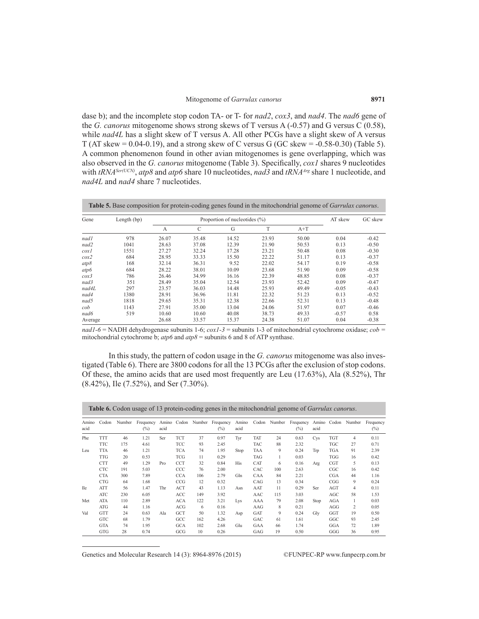dase b); and the incomplete stop codon TA- or T- for *nad2*, *cox3*, and *nad4*. The *nad6* gene of the *G. canorus* mitogenome shows strong skews of T versus A (-0.57) and G versus C (0.58), while *nad4L* has a slight skew of T versus A. All other PCGs have a slight skew of A versus T (AT skew =  $0.04-0.19$ ), and a strong skew of C versus G (GC skew =  $-0.58-0.30$ ) (Table 5). A common phenomenon found in other avian mitogenomes is gene overlapping, which was also observed in the *G. canorus* mitogenome (Table 3). Specifically, *cox1* shares 9 nucleotides with *tRNASer(UCN)*, *atp8* and *atp6* share 10 nucleotides, *nad3* and *tRNAArg* share 1 nucleotide, and *nad4L* and *nad4* share 7 nucleotides.

| Gene     | Length (bp) |       |       | Proportion of nucleotides $(\% )$ |       |       | AT skew | GC skew |
|----------|-------------|-------|-------|-----------------------------------|-------|-------|---------|---------|
|          |             | A     | C     | G                                 | T     | $A+T$ |         |         |
| nadl     | 978         | 26.07 | 35.48 | 14.52                             | 23.93 | 50.00 | 0.04    | $-0.42$ |
| nad2     | 1041        | 28.63 | 37.08 | 12.39                             | 21.90 | 50.53 | 0.13    | $-0.50$ |
| $\cos l$ | 1551        | 27.27 | 32.24 | 17.28                             | 23.21 | 50.48 | 0.08    | $-0.30$ |
| $\cos 2$ | 684         | 28.95 | 33.33 | 15.50                             | 22.22 | 51.17 | 0.13    | $-0.37$ |
| atp8     | 168         | 32.14 | 36.31 | 9.52                              | 22.02 | 54.17 | 0.19    | $-0.58$ |
| atp6     | 684         | 28.22 | 38.01 | 10.09                             | 23.68 | 51.90 | 0.09    | $-0.58$ |
| $\cos 3$ | 786         | 26.46 | 34.99 | 16.16                             | 22.39 | 48.85 | 0.08    | $-0.37$ |
| nad3     | 351         | 28.49 | 35.04 | 12.54                             | 23.93 | 52.42 | 0.09    | $-0.47$ |
| nad4L    | 297         | 23.57 | 36.03 | 14.48                             | 25.93 | 49.49 | $-0.05$ | $-0.43$ |
| nad4     | 1380        | 28.91 | 36.96 | 11.81                             | 22.32 | 51.23 | 0.13    | $-0.52$ |
| nad5     | 1818        | 29.65 | 35.31 | 12.38                             | 22.66 | 52.31 | 0.13    | $-0.48$ |
| cob      | 1143        | 27.91 | 35.00 | 13.04                             | 24.06 | 51.97 | 0.07    | $-0.46$ |
| nad6     | 519         | 10.60 | 10.60 | 40.08                             | 38.73 | 49.33 | $-0.57$ | 0.58    |
| Average  |             | 26.68 | 33.57 | 15.37                             | 24.38 | 51.07 | 0.04    | $-0.38$ |

*nad1-6* = NADH dehydrogenase subunits 1-6; *cox1-3* = subunits 1-3 of mitochondrial cytochrome oxidase; *cob =*  mitochondrial cytochrome b; *atp6* and *atp8* = subunits 6 and 8 of ATP synthase.

In this study, the pattern of codon usage in the *G. canorus* mitogenome was also investigated (Table 6). There are 3800 codons for all the 13 PCGs after the exclusion of stop codons. Of these, the amino acids that are used most frequently are Leu (17.63%), Ala (8.52%), Thr (8.42%), Ile (7.52%), and Ser (7.30%).

|               |            |        | <b>Table 6.</b> Codon usage of 13 protein-coding genes in the mitochondrial genome of <i>Garrulax canorus</i> . |               |            |     |                                  |               |            |        |                     |               |            |        |                     |
|---------------|------------|--------|-----------------------------------------------------------------------------------------------------------------|---------------|------------|-----|----------------------------------|---------------|------------|--------|---------------------|---------------|------------|--------|---------------------|
| Amino<br>acid | Codon      | Number | Frequency<br>$(\%)$                                                                                             | Amino<br>acid |            |     | Codon Number Frequency<br>$(\%)$ | Amino<br>acid | Codon      | Number | Frequency<br>$(\%)$ | Amino<br>acid | Codon      | Number | Frequency<br>$(\%)$ |
| Phe           | <b>TTT</b> | 46     | 1.21                                                                                                            | Ser           | <b>TCT</b> | 37  | 0.97                             | Tyr           | <b>TAT</b> | 24     | 0.63                | <b>Cys</b>    | <b>TGT</b> | 4      | 0.11                |
|               | <b>TTC</b> | 175    | 4.61                                                                                                            |               | TCC        | 93  | 2.45                             |               | <b>TAC</b> | 88     | 2.32                |               | TGC        | 27     | 0.71                |
| Leu           | <b>TTA</b> | 46     | 1.21                                                                                                            |               | <b>TCA</b> | 74  | 1.95                             | Stop          | TAA        | 9      | 0.24                | Trp           | <b>TGA</b> | 91     | 2.39                |
|               | <b>TTG</b> | 20     | 0.53                                                                                                            |               | <b>TCG</b> | 11  | 0.29                             |               | <b>TAG</b> |        | 0.03                |               | <b>TGG</b> | 16     | 0.42                |
|               | <b>CTT</b> | 49     | 1.29                                                                                                            | Pro           | <b>CCT</b> | 32  | 0.84                             | <b>His</b>    | CAT        | 6      | 0.16                | Arg           | <b>CGT</b> | 5      | 0.13                |
|               | <b>CTC</b> | 191    | 5.03                                                                                                            |               | CCC        | 76  | 2.00                             |               | CAC        | 100    | 2.63                |               | CGC        | 16     | 0.42                |
|               | <b>CTA</b> | 300    | 7.89                                                                                                            |               | <b>CCA</b> | 106 | 2.79                             | Gln           | CAA        | 84     | 2.21                |               | <b>CGA</b> | 44     | 1.16                |
|               | <b>CTG</b> | 64     | 1.68                                                                                                            |               | CCG        | 12  | 0.32                             |               | CAG        | 13     | 0.34                |               | CGG        | 9      | 0.24                |
| <b>Ile</b>    | <b>ATT</b> | 56     | 1.47                                                                                                            | Thr           | <b>ACT</b> | 43  | 1.13                             | Asn           | AAT        | 11     | 0.29                | Ser           | AGT        | 4      | 0.11                |
|               | ATC        | 230    | 6.05                                                                                                            |               | ACC        | 149 | 3.92                             |               | AAC        | 115    | 3.03                |               | AGC        | 58     | 1.53                |
| Met           | <b>ATA</b> | 110    | 2.89                                                                                                            |               | <b>ACA</b> | 122 | 3.21                             | Lys           | AAA        | 79     | 2.08                | Stop          | <b>AGA</b> |        | 0.03                |
|               | ATG        | 44     | 1.16                                                                                                            |               | ACG        | 6   | 0.16                             |               | AAG        | 8      | 0.21                |               | AGG        | 2      | 0.05                |
| Val           | <b>GTT</b> | 24     | 0.63                                                                                                            | Ala           | <b>GCT</b> | 50  | 1.32                             | Asp           | <b>GAT</b> | 9      | 0.24                | Gly           | GGT        | 19     | 0.50                |
|               | <b>GTC</b> | 68     | 1.79                                                                                                            |               | GCC        | 162 | 4.26                             |               | GAC        | 61     | 1.61                |               | GGC        | 93     | 2.45                |
|               | <b>GTA</b> | 74     | 1.95                                                                                                            |               | <b>GCA</b> | 102 | 2.68                             | Glu           | GAA        | 66     | 1.74                |               | GGA        | 72     | 1.89                |
|               | <b>GTG</b> | 28     | 0.74                                                                                                            |               | GCG        | 10  | 0.26                             |               | GAG        | 19     | 0.50                |               | GGG        | 36     | 0.95                |

Genetics and Molecular Research 14 (3): 8964-8976 (2015) ©FUNPEC-RP www.funpecrp.com.br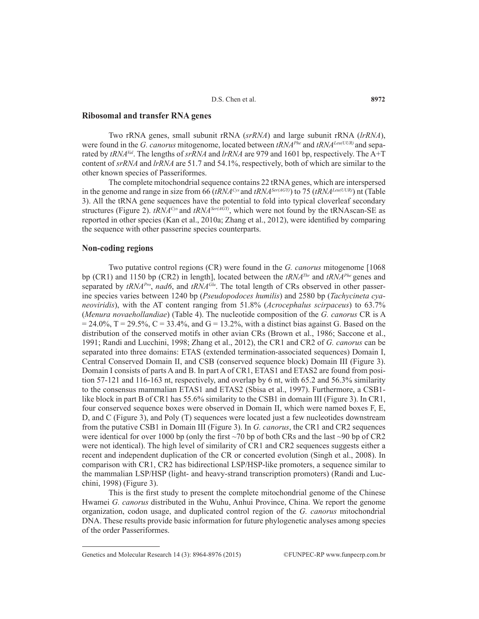## **Ribosomal and transfer RNA genes**

Two rRNA genes, small subunit rRNA (*srRNA*) and large subunit rRNA (*lrRNA*), were found in the *G. canorus* mitogenome, located between *tRNAPhe* and *tRNALeu(UUR)* and separated by *tRNA<sup>Val</sup>*. The lengths of *srRNA* and *lrRNA* are 979 and 1601 bp, respectively. The A+T content of *srRNA* and *lrRNA* are 51.7 and 54.1%, respectively, both of which are similar to the other known species of Passeriformes.

The complete mitochondrial sequence contains 22 tRNA genes, which are interspersed in the genome and range in size from 66 (*tRNACys* and *tRNASer(AGY)*) to 75 (*tRNALeu(UUR)*) nt (Table 3). All the tRNA gene sequences have the potential to fold into typical cloverleaf secondary structures (Figure 2).  $tRNA<sup>Cys</sup>$  and  $tRNA<sup>Ser(AGY)</sup>$ , which were not found by the  $tRNAscan-SE$  as reported in other species (Kan et al., 2010a; Zhang et al., 2012), were identified by comparing the sequence with other passerine species counterparts.

#### **Non-coding regions**

Two putative control regions (CR) were found in the *G. canorus* mitogenome [1068 bp (CR1) and 1150 bp (CR2) in length], located between the *tRNAThr* and *tRNAPhe* genes and separated by *tRNAPro*, *nad6*, and *tRNAGlu*. The total length of CRs observed in other passerine species varies between 1240 bp (*Pseudopodoces humilis*) and 2580 bp (*Tachycineta cyaneoviridis*), with the AT content ranging from 51.8% (*Acrocephalus scirpaceus*) to 63.7% (*Menura novaehollandiae*) (Table 4). The nucleotide composition of the *G. canorus* CR is A  $= 24.0\%$ , T = 29.5%, C = 33.4%, and G = 13.2%, with a distinct bias against G. Based on the distribution of the conserved motifs in other avian CRs (Brown et al., 1986; Saccone et al., 1991; Randi and Lucchini, 1998; Zhang et al., 2012), the CR1 and CR2 of *G. canorus* can be separated into three domains: ETAS (extended termination-associated sequences) Domain I, Central Conserved Domain II, and CSB (conserved sequence block) Domain III (Figure 3). Domain I consists of parts A and B. In part A of CR1, ETAS1 and ETAS2 are found from position 57-121 and 116-163 nt, respectively, and overlap by 6 nt, with 65.2 and 56.3% similarity to the consensus mammalian ETAS1 and ETAS2 (Sbisa et al., 1997). Furthermore, a CSB1 like block in part B of CR1 has 55.6% similarity to the CSB1 in domain III (Figure 3). In CR1, four conserved sequence boxes were observed in Domain II, which were named boxes F, E, D, and C (Figure 3), and Poly (T) sequences were located just a few nucleotides downstream from the putative CSB1 in Domain III (Figure 3). In *G. canorus*, the CR1 and CR2 sequences were identical for over 1000 bp (only the first  $\sim$ 70 bp of both CRs and the last  $\sim$ 90 bp of CR2 were not identical). The high level of similarity of CR1 and CR2 sequences suggests either a recent and independent duplication of the CR or concerted evolution (Singh et al., 2008). In comparison with CR1, CR2 has bidirectional LSP/HSP-like promoters, a sequence similar to the mammalian LSP/HSP (light- and heavy-strand transcription promoters) (Randi and Lucchini, 1998) (Figure 3).

This is the first study to present the complete mitochondrial genome of the Chinese Hwamei *G. canorus* distributed in the Wuhu, Anhui Province, China. We report the genome organization, codon usage, and duplicated control region of the *G. canorus* mitochondrial DNA. These results provide basic information for future phylogenetic analyses among species of the order Passeriformes.

Genetics and Molecular Research 14 (3): 8964-8976 (2015) ©FUNPEC-RP www.funpecrp.com.br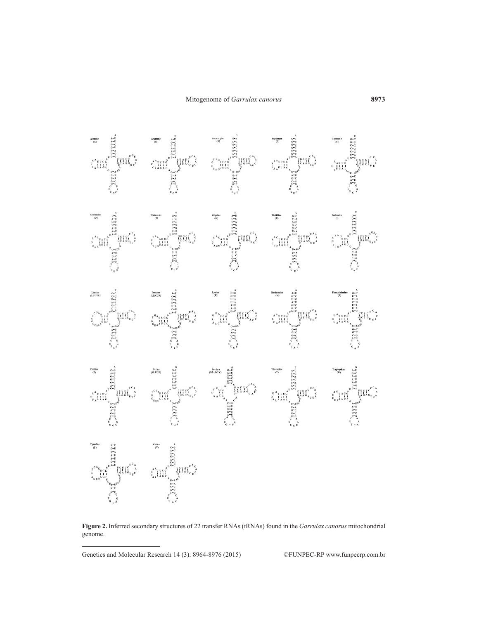

**Figure 2.** Inferred secondary structures of 22 transfer RNAs (tRNAs) found in the *Garrulax canorus* mitochondrial genome.

Genetics and Molecular Research 14 (3): 8964-8976 (2015) ©FUNPEC-RP www.funpecrp.com.br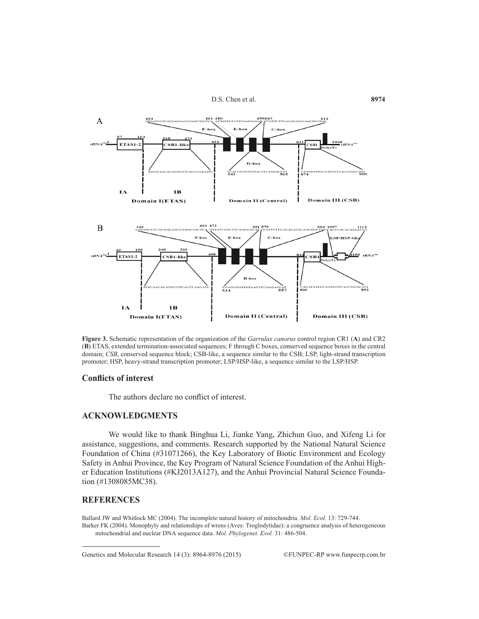



**Figure 3.** Schematic representation of the organization of the *Garrulax canorus* control region CR1 (**A**) and CR2 (**B**) ETAS, extended termination-associated sequences; F through C boxes, conserved sequence boxes in the central domain; *CSB*, conserved sequence block; CSB-like, a sequence similar to the CSB; LSP, light-strand transcription promoter; HSP, heavy-strand transcription promoter; LSP/HSP-like, a sequence similar to the LSP/HSP.

#### **Conflicts of interest**

The authors declare no conflict of interest.

## **ACKNOWLEDGMENTS**

We would like to thank Binghua Li, Jianke Yang, Zhichun Guo, and Xifeng Li for assistance, suggestions, and comments. Research supported by the National Natural Science Foundation of China (#31071266), the Key Laboratory of Biotic Environment and Ecology Safety in Anhui Province, the Key Program of Natural Science Foundation of the Anhui Higher Education Institutions (#KJ2013A127), and the Anhui Provincial Natural Science Foundation (#1308085MC38).

### **REFERENCES**

Ballard JW and Whitlock MC (2004). The incomplete natural history of mitochondria. *Mol. Ecol.* 13: 729-744. Barker FK (2004). Monophyly and relationships of wrens (Aves: Troglodytidae): a congruence analysis of heterogeneous mitochondrial and nuclear DNA sequence data. *Mol. Phylogenet. Evol.* 31: 486-504.

Genetics and Molecular Research 14 (3): 8964-8976 (2015) ©FUNPEC-RP www.funpecrp.com.br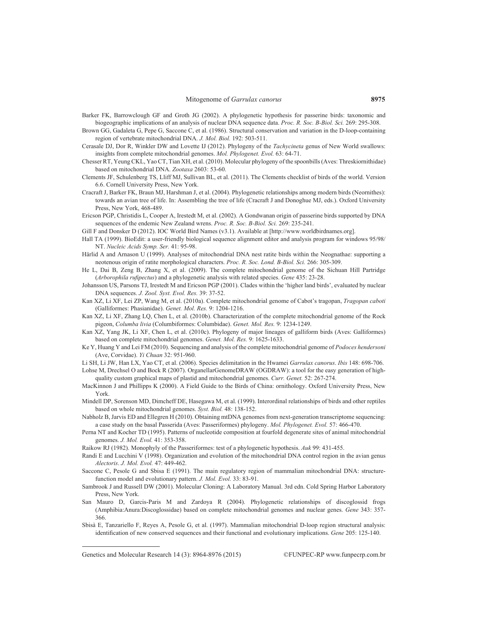- Barker FK, Barrowclough GF and Groth JG (2002). A phylogenetic hypothesis for passerine birds: taxonomic and biogeographic implications of an analysis of nuclear DNA sequence data. *Proc. R. Soc. B-Biol. Sci.* 269: 295-308.
- Brown GG, Gadaleta G, Pepe G, Saccone C, et al. (1986). Structural conservation and variation in the D-loop-containing region of vertebrate mitochondrial DNA. *J. Mol. Biol.* 192: 503-511.
- Cerasale DJ, Dor R, Winkler DW and Lovette IJ (2012). Phylogeny of the *Tachycineta* genus of New World swallows: insights from complete mitochondrial genomes. *Mol. Phylogenet. Evol.* 63: 64-71.
- Chesser RT, Yeung CKL, Yao CT, Tian XH, et al. (2010). Molecular phylogeny of the spoonbills (Aves: Threskiornithidae) based on mitochondrial DNA. *Zootaxa* 2603: 53-60.
- Clements JF, Schulenberg TS, Lliff MJ, Sullivan BL, et al. (2011). The Clements checklist of birds of the world. Version 6.6. Cornell University Press, New York.
- Cracraft J, Barker FK, Braun MJ, Harshman J, et al. (2004). Phylogenetic relationships among modern birds (Neornithes): towards an avian tree of life. In: Assembling the tree of life (Cracraft J and Donoghue MJ, eds.). Oxford University Press, New York, 468-489.
- Ericson PGP, Christidis L, Cooper A, Irestedt M, et al. (2002). A Gondwanan origin of passerine birds supported by DNA sequences of the endemic New Zealand wrens. *Proc. R. Soc. B-Biol. Sci.* 269: 235-241.
- Gill F and Donsker D (2012). IOC World Bird Names (v3.1). Available at [http://www.worldbirdnames.org].
- Hall TA (1999). BioEdit: a user-friendly biological sequence alignment editor and analysis program for windows 95/98/ NT. *Nucleic Acids Symp. Ser.* 41: 95-98.
- Härlid A and Arnason U (1999). Analyses of mitochondrial DNA nest ratite birds within the Neognathae: supporting a neotenous origin of ratite morphological characters. *Proc. R. Soc. Lond. B-Biol. Sci.* 266: 305-309.
- He L, Dai B, Zeng B, Zhang X, et al. (2009). The complete mitochondrial genome of the Sichuan Hill Partridge (*Arborophila rufipectus*) and a phylogenetic analysis with related species. *Gene* 435: 23-28.
- Johansson US, Parsons TJ, Irestedt M and Ericson PGP (2001). Clades within the 'higher land birds', evaluated by nuclear DNA sequences. *J. Zool. Syst. Evol. Res.* 39: 37-52.
- Kan XZ, Li XF, Lei ZP, Wang M, et al. (2010a). Complete mitochondrial genome of Cabot's tragopan, *Tragopan caboti* (Galliformes: Phasianidae). *Genet. Mol. Res.* 9: 1204-1216.
- Kan XZ, Li XF, Zhang LQ, Chen L, et al. (2010b). Characterization of the complete mitochondrial genome of the Rock pigeon, *Columba livia* (Columbiformes: Columbidae). *Genet. Mol. Res.* 9: 1234-1249.
- Kan XZ, Yang JK, Li XF, Chen L, et al. (2010c). Phylogeny of major lineages of galliform birds (Aves: Galliformes) based on complete mitochondrial genomes. *Genet. Mol. Res.* 9: 1625-1633.
- Ke Y, Huang Y and Lei FM (2010). Sequencing and analysis of the complete mitochondrial genome of *Podoces hendersoni* (Ave, Corvidae). *Yi Chuan* 32: 951-960.

Li SH, Li JW, Han LX, Yao CT, et al. (2006). Species delimitation in the Hwamei *Garrulax canorus*. *Ibis* 148: 698-706.

- Lohse M, Drechsel O and Bock R (2007). OrganellarGenomeDRAW (OGDRAW): a tool for the easy generation of highquality custom graphical maps of plastid and mitochondrial genomes. *Curr. Genet.* 52: 267-274.
- MacKinnon J and Phillipps K (2000). A Field Guide to the Birds of China: ornithology. Oxford University Press, New York.
- Mindell DP, Sorenson MD, Dimcheff DE, Hasegawa M, et al. (1999). Interordinal relationships of birds and other reptiles based on whole mitochondrial genomes. *Syst. Biol.* 48: 138-152.
- Nabholz B, Jarvis ED and Ellegren H (2010). Obtaining mtDNA genomes from next-generation transcriptome sequencing: a case study on the basal Passerida (Aves: Passeriformes) phylogeny. *Mol. Phylogenet. Evol.* 57: 466-470.
- Perna NT and Kocher TD (1995). Patterns of nucleotide composition at fourfold degenerate sites of animal mitochondrial genomes. *J. Mol. Evol.* 41: 353-358.
- Raikow RJ (1982). Monophyly of the Passeriformes: test of a phylogenetic hypothesis. *Auk* 99: 431-455.
- Randi E and Lucchini V (1998). Organization and evolution of the mitochondrial DNA control region in the avian genus *Alectoris*. *J. Mol. Evol.* 47: 449-462.
- Saccone C, Pesole G and Sbisa E (1991). The main regulatory region of mammalian mitochondrial DNA: structurefunction model and evolutionary pattern. *J. Mol. Evol.* 33: 83-91.
- Sambrook J and Russell DW (2001). Molecular Cloning: A Laboratory Manual. 3rd edn. Cold Spring Harbor Laboratory Press, New York.
- San Mauro D, Garcis-Paris M and Zardoya R (2004). Phylogenetic relationships of discoglossid frogs (Amphibia:Anura:Discoglossidae) based on complete mitochondrial genomes and nuclear genes. *Gene* 343: 357- 366.
- Sbisà E, Tanzariello F, Reyes A, Pesole G, et al. (1997). Mammalian mitochondrial D-loop region structural analysis: identification of new conserved sequences and their functional and evolutionary implications. *Gene* 205: 125-140.

Genetics and Molecular Research 14 (3): 8964-8976 (2015) ©FUNPEC-RP www.funpecrp.com.br